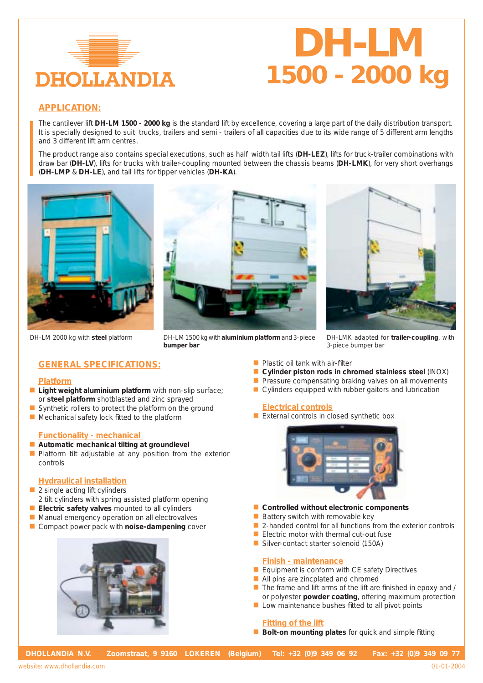

# *DH-LM 1500 - 2000 kg*

# **APPLICATION:**

The cantilever lift **DH-LM 1500 - 2000 kg** is the standard lift by excellence, covering a large part of the daily distribution transport. It is specially designed to suit trucks, trailers and semi - trailers of all capacities due to its wide range of 5 different arm lengths and 3 different lift arm centres.

The product range also contains special executions, such as half width tail lifts (**DH-LEZ**), lifts for truck-trailer combinations with draw bar (**DH-LV**), lifts for trucks with trailer-coupling mounted between the chassis beams (**DH-LMK**), for very short overhangs (**DH-LMP** & **DH-LE**), and tail lifts for tipper vehicles (**DH-KA**).







DH-LM 2000 kg with steel platform **DH-LM 1500 kg with aluminium platform** and 3-piece DH-LMK adapted for trailer-coupling, with **bumper bar**

3-piece bumper bar

# **GENERAL SPECIFICATIONS:**

#### **Platform**

- **n** Light weight aluminium platform with non-slip surface; or **steel platform** shotblasted and zinc sprayed
- $\blacksquare$  Synthetic rollers to protect the platform on the ground
- $\blacksquare$  Mechanical safety lock fitted to the platform

#### **Functionality - mechanical**

- **E** Automatic mechanical tilting at groundlevel
- **n** Platform tilt adjustable at any position from the exterior controls

### **Hydraulical installation**

- $\blacksquare$  2 single acting lift cylinders
- 2 tilt cylinders with spring assisted platform opening
- **E** Electric safety valves mounted to all cylinders
- Manual emergency operation on all electrovalves
- **n** Compact power pack with **noise-dampening** cover



- $\blacksquare$  Plastic oil tank with air-filter
- **n** Cylinder piston rods in chromed stainless steel (INOX)
- $\blacksquare$  Pressure compensating braking valves on all movements
- $\blacksquare$  Cylinders equipped with rubber gaitors and lubrication

### **Electrical controls**

 $\blacksquare$  External controls in closed synthetic box



- **n** Controlled without electronic components
- $\blacksquare$  Battery switch with removable key
- $\blacksquare$  2-handed control for all functions from the exterior controls
- $\blacksquare$  Electric motor with thermal cut-out fuse
- Silver-contact starter solenoid (150A)

#### **Finish - maintenance**

- $\blacksquare$  Equipment is conform with CE safety Directives
- $\blacksquare$  All pins are zincplated and chromed
- The frame and lift arms of the lift are finished in epoxy and / or polyester **powder coating**, offering maximum protection
- $\blacksquare$  Low maintenance bushes fitted to all pivot points

## **Fitting of the lift**

■ **Bolt-on mounting plates** for quick and simple fitting